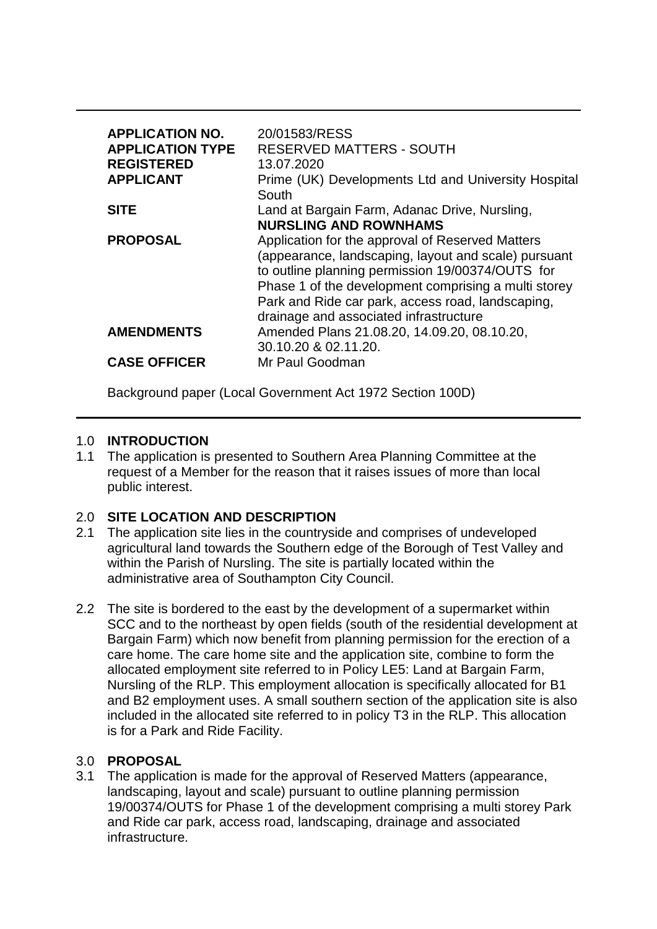| <b>APPLICATION NO.</b><br><b>APPLICATION TYPE</b><br><b>REGISTERED</b><br><b>APPLICANT</b> | 20/01583/RESS<br><b>RESERVED MATTERS - SOUTH</b><br>13.07.2020<br>Prime (UK) Developments Ltd and University Hospital<br>South                                                                                                                                                                                      |
|--------------------------------------------------------------------------------------------|---------------------------------------------------------------------------------------------------------------------------------------------------------------------------------------------------------------------------------------------------------------------------------------------------------------------|
| <b>SITE</b>                                                                                | Land at Bargain Farm, Adanac Drive, Nursling,<br><b>NURSLING AND ROWNHAMS</b>                                                                                                                                                                                                                                       |
| <b>PROPOSAL</b>                                                                            | Application for the approval of Reserved Matters<br>(appearance, landscaping, layout and scale) pursuant<br>to outline planning permission 19/00374/OUTS for<br>Phase 1 of the development comprising a multi storey<br>Park and Ride car park, access road, landscaping,<br>drainage and associated infrastructure |
| <b>AMENDMENTS</b>                                                                          | Amended Plans 21.08.20, 14.09.20, 08.10.20,<br>30.10.20 & 02.11.20.                                                                                                                                                                                                                                                 |
| <b>CASE OFFICER</b>                                                                        | Mr Paul Goodman                                                                                                                                                                                                                                                                                                     |

Background paper (Local Government Act 1972 Section 100D)

#### 1.0 **INTRODUCTION**

1.1 The application is presented to Southern Area Planning Committee at the request of a Member for the reason that it raises issues of more than local public interest.

## 2.0 **SITE LOCATION AND DESCRIPTION**

- 2.1 The application site lies in the countryside and comprises of undeveloped agricultural land towards the Southern edge of the Borough of Test Valley and within the Parish of Nursling. The site is partially located within the administrative area of Southampton City Council.
- 2.2 The site is bordered to the east by the development of a supermarket within SCC and to the northeast by open fields (south of the residential development at Bargain Farm) which now benefit from planning permission for the erection of a care home. The care home site and the application site, combine to form the allocated employment site referred to in Policy LE5: Land at Bargain Farm, Nursling of the RLP. This employment allocation is specifically allocated for B1 and B2 employment uses. A small southern section of the application site is also included in the allocated site referred to in policy T3 in the RLP. This allocation is for a Park and Ride Facility.

#### 3.0 **PROPOSAL**

3.1 The application is made for the approval of Reserved Matters (appearance, landscaping, layout and scale) pursuant to outline planning permission 19/00374/OUTS for Phase 1 of the development comprising a multi storey Park and Ride car park, access road, landscaping, drainage and associated infrastructure.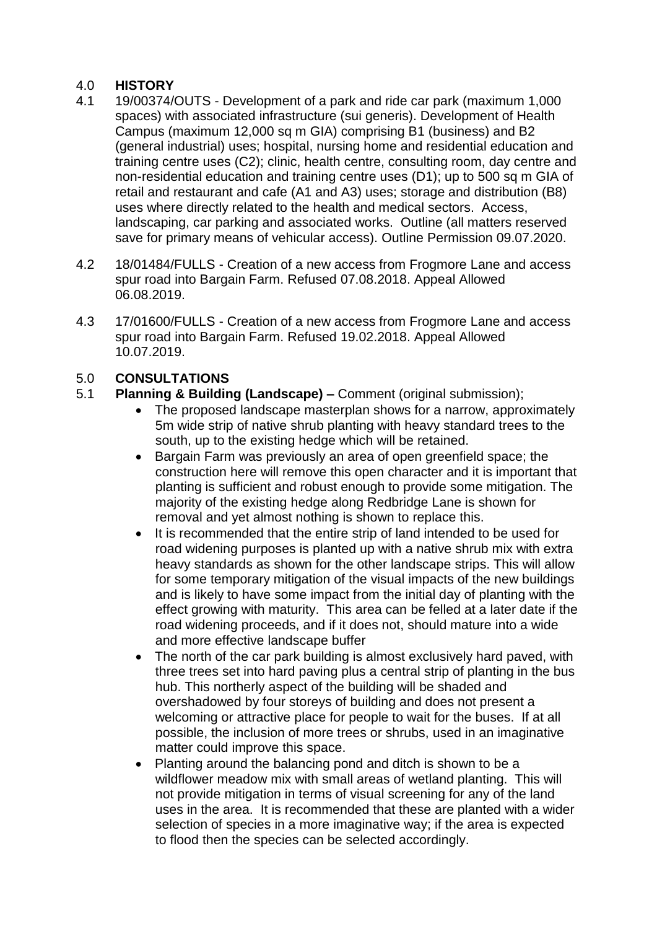#### 4.0 **HISTORY**

- 4.1 19/00374/OUTS Development of a park and ride car park (maximum 1,000 spaces) with associated infrastructure (sui generis). Development of Health Campus (maximum 12,000 sq m GIA) comprising B1 (business) and B2 (general industrial) uses; hospital, nursing home and residential education and training centre uses (C2); clinic, health centre, consulting room, day centre and non-residential education and training centre uses (D1); up to 500 sq m GIA of retail and restaurant and cafe (A1 and A3) uses; storage and distribution (B8) uses where directly related to the health and medical sectors. Access, landscaping, car parking and associated works. Outline (all matters reserved save for primary means of vehicular access). Outline Permission 09.07.2020.
- 4.2 18/01484/FULLS Creation of a new access from Frogmore Lane and access spur road into Bargain Farm. Refused 07.08.2018. Appeal Allowed 06.08.2019.
- 4.3 17/01600/FULLS Creation of a new access from Frogmore Lane and access spur road into Bargain Farm. Refused 19.02.2018. Appeal Allowed 10.07.2019.

# 5.0 **CONSULTATIONS**

## 5.1 **Planning & Building (Landscape) –** Comment (original submission);

- The proposed landscape masterplan shows for a narrow, approximately 5m wide strip of native shrub planting with heavy standard trees to the south, up to the existing hedge which will be retained.
- Bargain Farm was previously an area of open greenfield space; the construction here will remove this open character and it is important that planting is sufficient and robust enough to provide some mitigation. The majority of the existing hedge along Redbridge Lane is shown for removal and yet almost nothing is shown to replace this.
- It is recommended that the entire strip of land intended to be used for road widening purposes is planted up with a native shrub mix with extra heavy standards as shown for the other landscape strips. This will allow for some temporary mitigation of the visual impacts of the new buildings and is likely to have some impact from the initial day of planting with the effect growing with maturity. This area can be felled at a later date if the road widening proceeds, and if it does not, should mature into a wide and more effective landscape buffer
- The north of the car park building is almost exclusively hard paved, with three trees set into hard paving plus a central strip of planting in the bus hub. This northerly aspect of the building will be shaded and overshadowed by four storeys of building and does not present a welcoming or attractive place for people to wait for the buses. If at all possible, the inclusion of more trees or shrubs, used in an imaginative matter could improve this space.
- Planting around the balancing pond and ditch is shown to be a wildflower meadow mix with small areas of wetland planting. This will not provide mitigation in terms of visual screening for any of the land uses in the area. It is recommended that these are planted with a wider selection of species in a more imaginative way; if the area is expected to flood then the species can be selected accordingly.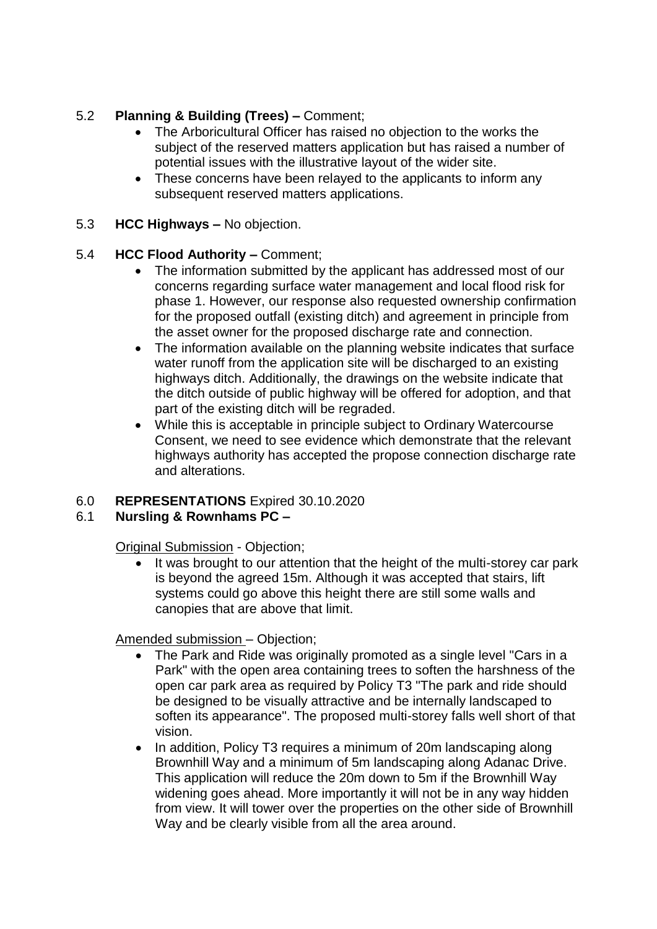# 5.2 **Planning & Building (Trees) –** Comment;

- The Arboricultural Officer has raised no objection to the works the subject of the reserved matters application but has raised a number of potential issues with the illustrative layout of the wider site.
- These concerns have been relayed to the applicants to inform any subsequent reserved matters applications.
- 5.3 **HCC Highways –** No objection.

## 5.4 **HCC Flood Authority –** Comment;

- The information submitted by the applicant has addressed most of our concerns regarding surface water management and local flood risk for phase 1. However, our response also requested ownership confirmation for the proposed outfall (existing ditch) and agreement in principle from the asset owner for the proposed discharge rate and connection.
- The information available on the planning website indicates that surface water runoff from the application site will be discharged to an existing highways ditch. Additionally, the drawings on the website indicate that the ditch outside of public highway will be offered for adoption, and that part of the existing ditch will be regraded.
- While this is acceptable in principle subject to Ordinary Watercourse Consent, we need to see evidence which demonstrate that the relevant highways authority has accepted the propose connection discharge rate and alterations.

# 6.0 **REPRESENTATIONS** Expired 30.10.2020

## 6.1 **Nursling & Rownhams PC –**

Original Submission - Objection;

• It was brought to our attention that the height of the multi-storey car park is beyond the agreed 15m. Although it was accepted that stairs, lift systems could go above this height there are still some walls and canopies that are above that limit.

Amended submission – Objection;

- The Park and Ride was originally promoted as a single level "Cars in a Park" with the open area containing trees to soften the harshness of the open car park area as required by Policy T3 "The park and ride should be designed to be visually attractive and be internally landscaped to soften its appearance". The proposed multi-storey falls well short of that vision.
- In addition, Policy T3 requires a minimum of 20m landscaping along Brownhill Way and a minimum of 5m landscaping along Adanac Drive. This application will reduce the 20m down to 5m if the Brownhill Way widening goes ahead. More importantly it will not be in any way hidden from view. It will tower over the properties on the other side of Brownhill Way and be clearly visible from all the area around.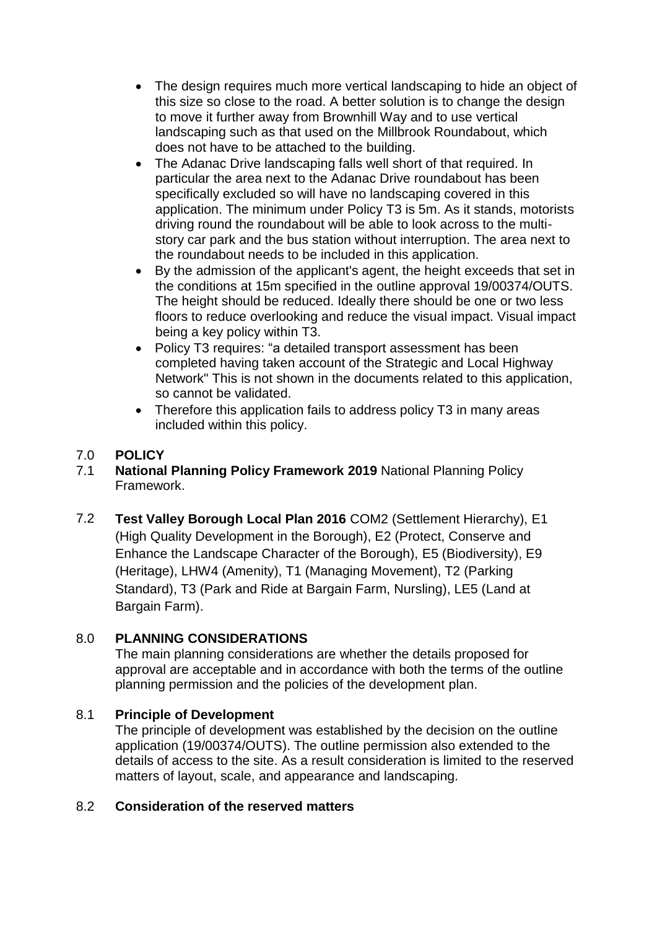- The design requires much more vertical landscaping to hide an object of this size so close to the road. A better solution is to change the design to move it further away from Brownhill Way and to use vertical landscaping such as that used on the Millbrook Roundabout, which does not have to be attached to the building.
- The Adanac Drive landscaping falls well short of that required. In particular the area next to the Adanac Drive roundabout has been specifically excluded so will have no landscaping covered in this application. The minimum under Policy T3 is 5m. As it stands, motorists driving round the roundabout will be able to look across to the multistory car park and the bus station without interruption. The area next to the roundabout needs to be included in this application.
- By the admission of the applicant's agent, the height exceeds that set in the conditions at 15m specified in the outline approval 19/00374/OUTS. The height should be reduced. Ideally there should be one or two less floors to reduce overlooking and reduce the visual impact. Visual impact being a key policy within T3.
- Policy T3 requires: "a detailed transport assessment has been completed having taken account of the Strategic and Local Highway Network" This is not shown in the documents related to this application, so cannot be validated.
- Therefore this application fails to address policy T3 in many areas included within this policy.

# 7.0 **POLICY**

- 7.1 **National Planning Policy Framework 2019** National Planning Policy Framework.
- 7.2 **Test Valley Borough Local Plan 2016** COM2 (Settlement Hierarchy), E1 (High Quality Development in the Borough), E2 (Protect, Conserve and Enhance the Landscape Character of the Borough), E5 (Biodiversity), E9 (Heritage), LHW4 (Amenity), T1 (Managing Movement), T2 (Parking Standard), T3 (Park and Ride at Bargain Farm, Nursling), LE5 (Land at Bargain Farm).

## 8.0 **PLANNING CONSIDERATIONS**

The main planning considerations are whether the details proposed for approval are acceptable and in accordance with both the terms of the outline planning permission and the policies of the development plan.

## 8.1 **Principle of Development**

The principle of development was established by the decision on the outline application (19/00374/OUTS). The outline permission also extended to the details of access to the site. As a result consideration is limited to the reserved matters of layout, scale, and appearance and landscaping.

## 8.2 **Consideration of the reserved matters**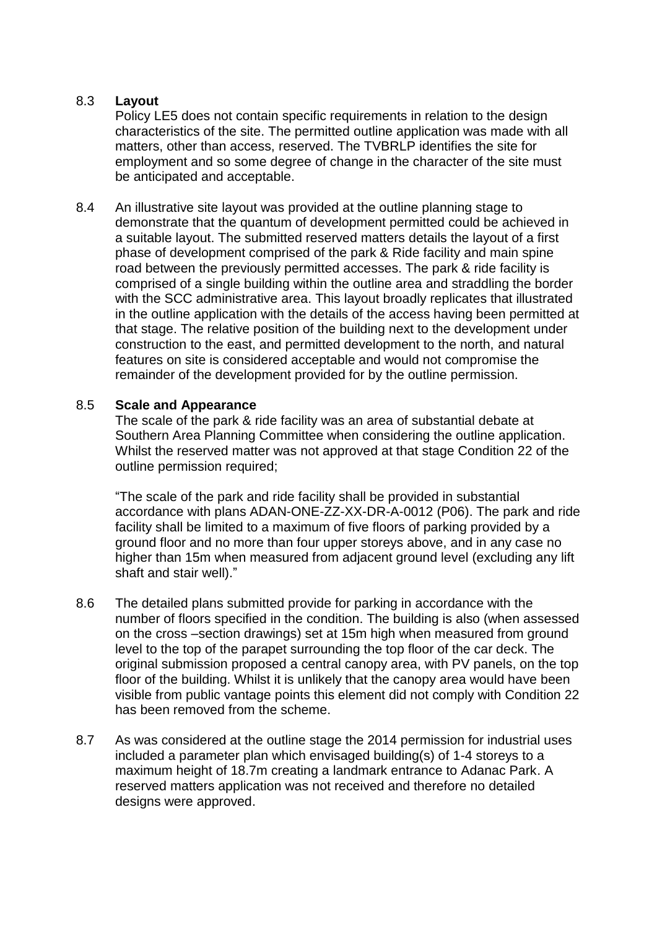#### 8.3 **Layout**

Policy LE5 does not contain specific requirements in relation to the design characteristics of the site. The permitted outline application was made with all matters, other than access, reserved. The TVBRLP identifies the site for employment and so some degree of change in the character of the site must be anticipated and acceptable.

8.4 An illustrative site layout was provided at the outline planning stage to demonstrate that the quantum of development permitted could be achieved in a suitable layout. The submitted reserved matters details the layout of a first phase of development comprised of the park & Ride facility and main spine road between the previously permitted accesses. The park & ride facility is comprised of a single building within the outline area and straddling the border with the SCC administrative area. This layout broadly replicates that illustrated in the outline application with the details of the access having been permitted at that stage. The relative position of the building next to the development under construction to the east, and permitted development to the north, and natural features on site is considered acceptable and would not compromise the remainder of the development provided for by the outline permission.

#### 8.5 **Scale and Appearance**

The scale of the park & ride facility was an area of substantial debate at Southern Area Planning Committee when considering the outline application. Whilst the reserved matter was not approved at that stage Condition 22 of the outline permission required;

"The scale of the park and ride facility shall be provided in substantial accordance with plans ADAN-ONE-ZZ-XX-DR-A-0012 (P06). The park and ride facility shall be limited to a maximum of five floors of parking provided by a ground floor and no more than four upper storeys above, and in any case no higher than 15m when measured from adjacent ground level (excluding any lift shaft and stair well)."

- 8.6 The detailed plans submitted provide for parking in accordance with the number of floors specified in the condition. The building is also (when assessed on the cross –section drawings) set at 15m high when measured from ground level to the top of the parapet surrounding the top floor of the car deck. The original submission proposed a central canopy area, with PV panels, on the top floor of the building. Whilst it is unlikely that the canopy area would have been visible from public vantage points this element did not comply with Condition 22 has been removed from the scheme.
- 8.7 As was considered at the outline stage the 2014 permission for industrial uses included a parameter plan which envisaged building(s) of 1-4 storeys to a maximum height of 18.7m creating a landmark entrance to Adanac Park. A reserved matters application was not received and therefore no detailed designs were approved.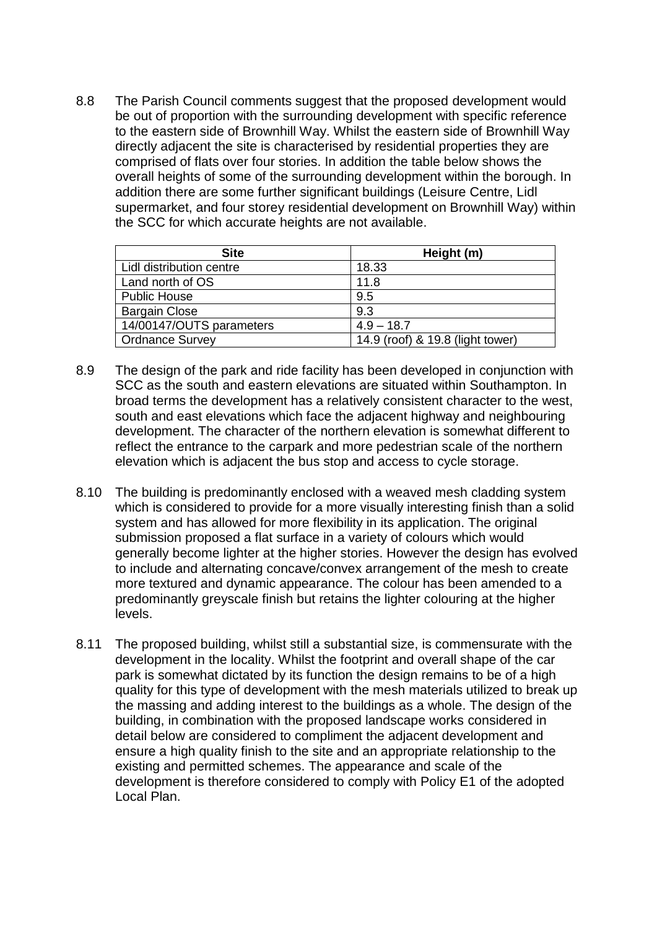8.8 The Parish Council comments suggest that the proposed development would be out of proportion with the surrounding development with specific reference to the eastern side of Brownhill Way. Whilst the eastern side of Brownhill Way directly adjacent the site is characterised by residential properties they are comprised of flats over four stories. In addition the table below shows the overall heights of some of the surrounding development within the borough. In addition there are some further significant buildings (Leisure Centre, Lidl supermarket, and four storey residential development on Brownhill Way) within the SCC for which accurate heights are not available.

| <b>Site</b>              | Height (m)                       |
|--------------------------|----------------------------------|
| Lidl distribution centre | 18.33                            |
| Land north of OS         | 11.8                             |
| <b>Public House</b>      | 9.5                              |
| <b>Bargain Close</b>     | 9.3                              |
| 14/00147/OUTS parameters | $4.9 - 18.7$                     |
| <b>Ordnance Survey</b>   | 14.9 (roof) & 19.8 (light tower) |

- 8.9 The design of the park and ride facility has been developed in conjunction with SCC as the south and eastern elevations are situated within Southampton. In broad terms the development has a relatively consistent character to the west, south and east elevations which face the adjacent highway and neighbouring development. The character of the northern elevation is somewhat different to reflect the entrance to the carpark and more pedestrian scale of the northern elevation which is adjacent the bus stop and access to cycle storage.
- 8.10 The building is predominantly enclosed with a weaved mesh cladding system which is considered to provide for a more visually interesting finish than a solid system and has allowed for more flexibility in its application. The original submission proposed a flat surface in a variety of colours which would generally become lighter at the higher stories. However the design has evolved to include and alternating concave/convex arrangement of the mesh to create more textured and dynamic appearance. The colour has been amended to a predominantly greyscale finish but retains the lighter colouring at the higher levels.
- 8.11 The proposed building, whilst still a substantial size, is commensurate with the development in the locality. Whilst the footprint and overall shape of the car park is somewhat dictated by its function the design remains to be of a high quality for this type of development with the mesh materials utilized to break up the massing and adding interest to the buildings as a whole. The design of the building, in combination with the proposed landscape works considered in detail below are considered to compliment the adjacent development and ensure a high quality finish to the site and an appropriate relationship to the existing and permitted schemes. The appearance and scale of the development is therefore considered to comply with Policy E1 of the adopted Local Plan.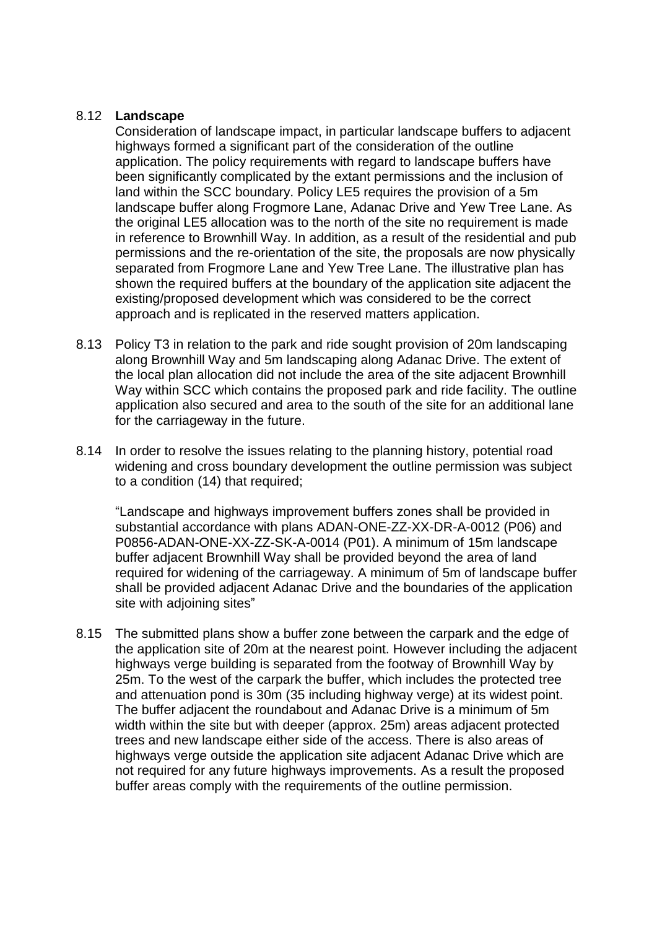#### 8.12 **Landscape**

Consideration of landscape impact, in particular landscape buffers to adjacent highways formed a significant part of the consideration of the outline application. The policy requirements with regard to landscape buffers have been significantly complicated by the extant permissions and the inclusion of land within the SCC boundary. Policy LE5 requires the provision of a 5m landscape buffer along Frogmore Lane, Adanac Drive and Yew Tree Lane. As the original LE5 allocation was to the north of the site no requirement is made in reference to Brownhill Way. In addition, as a result of the residential and pub permissions and the re-orientation of the site, the proposals are now physically separated from Frogmore Lane and Yew Tree Lane. The illustrative plan has shown the required buffers at the boundary of the application site adjacent the existing/proposed development which was considered to be the correct approach and is replicated in the reserved matters application.

- 8.13 Policy T3 in relation to the park and ride sought provision of 20m landscaping along Brownhill Way and 5m landscaping along Adanac Drive. The extent of the local plan allocation did not include the area of the site adjacent Brownhill Way within SCC which contains the proposed park and ride facility. The outline application also secured and area to the south of the site for an additional lane for the carriageway in the future.
- 8.14 In order to resolve the issues relating to the planning history, potential road widening and cross boundary development the outline permission was subject to a condition (14) that required;

"Landscape and highways improvement buffers zones shall be provided in substantial accordance with plans ADAN-ONE-ZZ-XX-DR-A-0012 (P06) and P0856-ADAN-ONE-XX-ZZ-SK-A-0014 (P01). A minimum of 15m landscape buffer adjacent Brownhill Way shall be provided beyond the area of land required for widening of the carriageway. A minimum of 5m of landscape buffer shall be provided adjacent Adanac Drive and the boundaries of the application site with adjoining sites"

8.15 The submitted plans show a buffer zone between the carpark and the edge of the application site of 20m at the nearest point. However including the adjacent highways verge building is separated from the footway of Brownhill Way by 25m. To the west of the carpark the buffer, which includes the protected tree and attenuation pond is 30m (35 including highway verge) at its widest point. The buffer adjacent the roundabout and Adanac Drive is a minimum of 5m width within the site but with deeper (approx. 25m) areas adjacent protected trees and new landscape either side of the access. There is also areas of highways verge outside the application site adjacent Adanac Drive which are not required for any future highways improvements. As a result the proposed buffer areas comply with the requirements of the outline permission.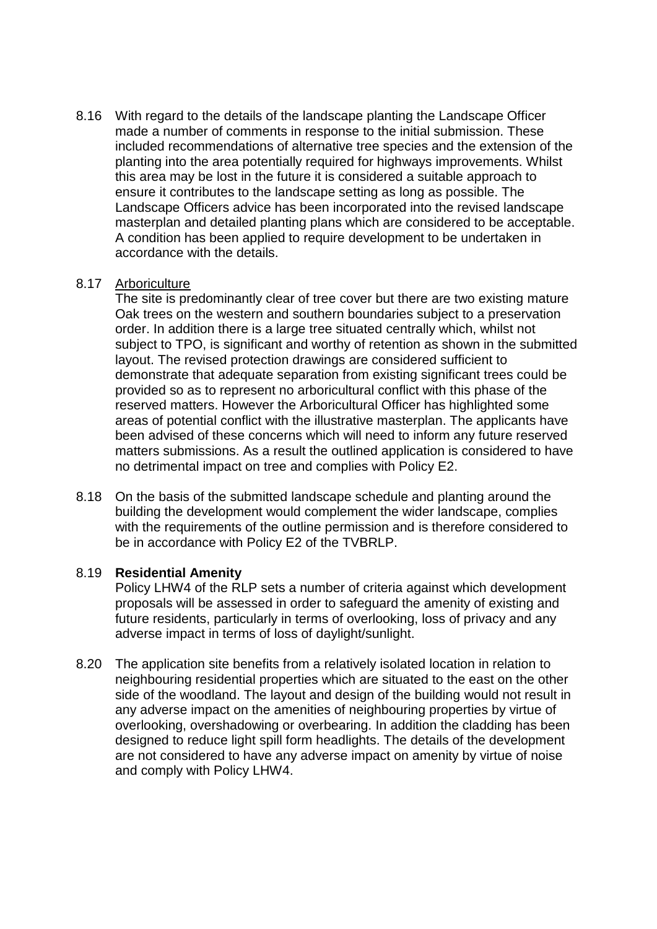8.16 With regard to the details of the landscape planting the Landscape Officer made a number of comments in response to the initial submission. These included recommendations of alternative tree species and the extension of the planting into the area potentially required for highways improvements. Whilst this area may be lost in the future it is considered a suitable approach to ensure it contributes to the landscape setting as long as possible. The Landscape Officers advice has been incorporated into the revised landscape masterplan and detailed planting plans which are considered to be acceptable. A condition has been applied to require development to be undertaken in accordance with the details.

#### 8.17 Arboriculture

The site is predominantly clear of tree cover but there are two existing mature Oak trees on the western and southern boundaries subject to a preservation order. In addition there is a large tree situated centrally which, whilst not subject to TPO, is significant and worthy of retention as shown in the submitted layout. The revised protection drawings are considered sufficient to demonstrate that adequate separation from existing significant trees could be provided so as to represent no arboricultural conflict with this phase of the reserved matters. However the Arboricultural Officer has highlighted some areas of potential conflict with the illustrative masterplan. The applicants have been advised of these concerns which will need to inform any future reserved matters submissions. As a result the outlined application is considered to have no detrimental impact on tree and complies with Policy E2.

8.18 On the basis of the submitted landscape schedule and planting around the building the development would complement the wider landscape, complies with the requirements of the outline permission and is therefore considered to be in accordance with Policy E2 of the TVBRLP.

## 8.19 **Residential Amenity**

Policy LHW4 of the RLP sets a number of criteria against which development proposals will be assessed in order to safeguard the amenity of existing and future residents, particularly in terms of overlooking, loss of privacy and any adverse impact in terms of loss of daylight/sunlight.

8.20 The application site benefits from a relatively isolated location in relation to neighbouring residential properties which are situated to the east on the other side of the woodland. The layout and design of the building would not result in any adverse impact on the amenities of neighbouring properties by virtue of overlooking, overshadowing or overbearing. In addition the cladding has been designed to reduce light spill form headlights. The details of the development are not considered to have any adverse impact on amenity by virtue of noise and comply with Policy LHW4.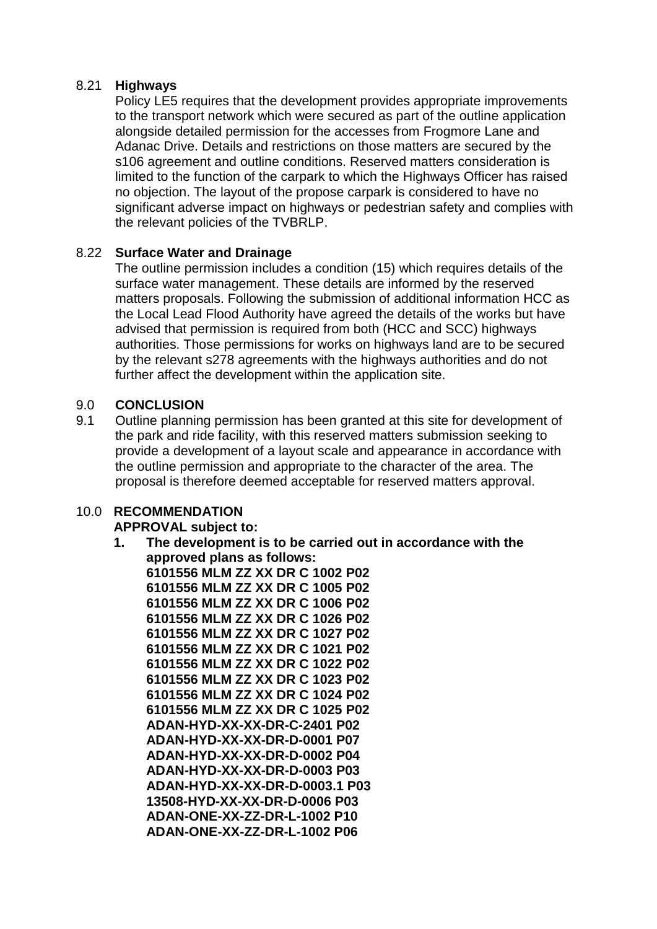#### 8.21 **Highways**

Policy LE5 requires that the development provides appropriate improvements to the transport network which were secured as part of the outline application alongside detailed permission for the accesses from Frogmore Lane and Adanac Drive. Details and restrictions on those matters are secured by the s106 agreement and outline conditions. Reserved matters consideration is limited to the function of the carpark to which the Highways Officer has raised no objection. The layout of the propose carpark is considered to have no significant adverse impact on highways or pedestrian safety and complies with the relevant policies of the TVBRLP.

#### 8.22 **Surface Water and Drainage**

The outline permission includes a condition (15) which requires details of the surface water management. These details are informed by the reserved matters proposals. Following the submission of additional information HCC as the Local Lead Flood Authority have agreed the details of the works but have advised that permission is required from both (HCC and SCC) highways authorities. Those permissions for works on highways land are to be secured by the relevant s278 agreements with the highways authorities and do not further affect the development within the application site.

#### 9.0 **CONCLUSION**

9.1 Outline planning permission has been granted at this site for development of the park and ride facility, with this reserved matters submission seeking to provide a development of a layout scale and appearance in accordance with the outline permission and appropriate to the character of the area. The proposal is therefore deemed acceptable for reserved matters approval.

## 10.0 **RECOMMENDATION**

#### **APPROVAL subject to:**

**1. The development is to be carried out in accordance with the approved plans as follows:**

**6101556 MLM ZZ XX DR C 1002 P02 6101556 MLM ZZ XX DR C 1005 P02 6101556 MLM ZZ XX DR C 1006 P02 6101556 MLM ZZ XX DR C 1026 P02 6101556 MLM ZZ XX DR C 1027 P02 6101556 MLM ZZ XX DR C 1021 P02 6101556 MLM ZZ XX DR C 1022 P02 6101556 MLM ZZ XX DR C 1023 P02 6101556 MLM ZZ XX DR C 1024 P02 6101556 MLM ZZ XX DR C 1025 P02 ADAN-HYD-XX-XX-DR-C-2401 P02 ADAN-HYD-XX-XX-DR-D-0001 P07 ADAN-HYD-XX-XX-DR-D-0002 P04 ADAN-HYD-XX-XX-DR-D-0003 P03 ADAN-HYD-XX-XX-DR-D-0003.1 P03 13508-HYD-XX-XX-DR-D-0006 P03 ADAN-ONE-XX-ZZ-DR-L-1002 P10 ADAN-ONE-XX-ZZ-DR-L-1002 P06**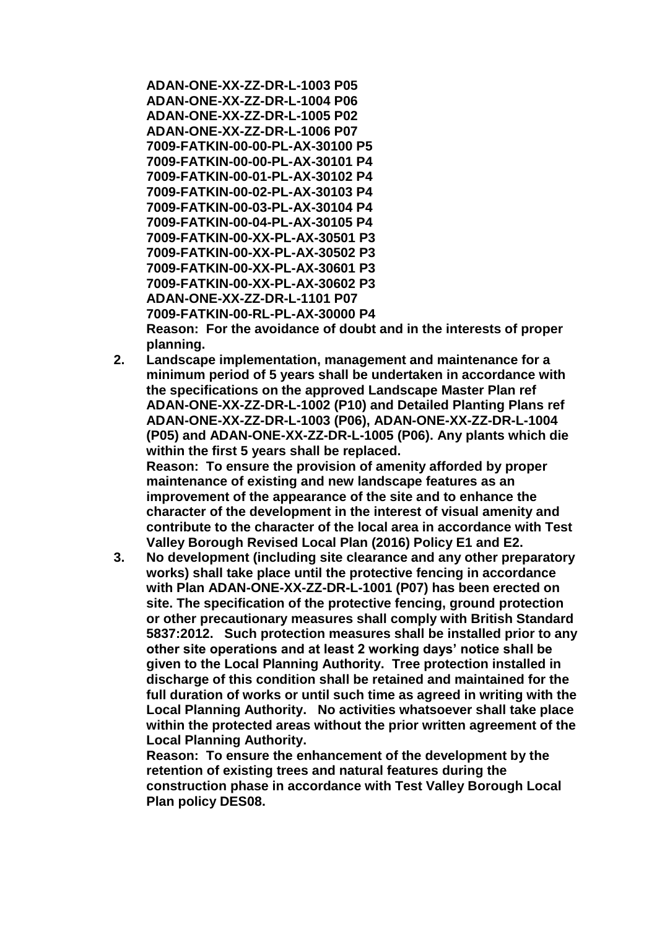**ADAN-ONE-XX-ZZ-DR-L-1003 P05 ADAN-ONE-XX-ZZ-DR-L-1004 P06 ADAN-ONE-XX-ZZ-DR-L-1005 P02 ADAN-ONE-XX-ZZ-DR-L-1006 P07 7009-FATKIN-00-00-PL-AX-30100 P5 7009-FATKIN-00-00-PL-AX-30101 P4 7009-FATKIN-00-01-PL-AX-30102 P4 7009-FATKIN-00-02-PL-AX-30103 P4 7009-FATKIN-00-03-PL-AX-30104 P4 7009-FATKIN-00-04-PL-AX-30105 P4 7009-FATKIN-00-XX-PL-AX-30501 P3 7009-FATKIN-00-XX-PL-AX-30502 P3 7009-FATKIN-00-XX-PL-AX-30601 P3 7009-FATKIN-00-XX-PL-AX-30602 P3 ADAN-ONE-XX-ZZ-DR-L-1101 P07 7009-FATKIN-00-RL-PL-AX-30000 P4**

**Reason: For the avoidance of doubt and in the interests of proper planning.**

**2. Landscape implementation, management and maintenance for a minimum period of 5 years shall be undertaken in accordance with the specifications on the approved Landscape Master Plan ref ADAN-ONE-XX-ZZ-DR-L-1002 (P10) and Detailed Planting Plans ref ADAN-ONE-XX-ZZ-DR-L-1003 (P06), ADAN-ONE-XX-ZZ-DR-L-1004 (P05) and ADAN-ONE-XX-ZZ-DR-L-1005 (P06). Any plants which die within the first 5 years shall be replaced. Reason: To ensure the provision of amenity afforded by proper maintenance of existing and new landscape features as an improvement of the appearance of the site and to enhance the** 

**character of the development in the interest of visual amenity and contribute to the character of the local area in accordance with Test Valley Borough Revised Local Plan (2016) Policy E1 and E2.** 

**3. No development (including site clearance and any other preparatory works) shall take place until the protective fencing in accordance with Plan ADAN-ONE-XX-ZZ-DR-L-1001 (P07) has been erected on site. The specification of the protective fencing, ground protection or other precautionary measures shall comply with British Standard 5837:2012. Such protection measures shall be installed prior to any other site operations and at least 2 working days' notice shall be given to the Local Planning Authority. Tree protection installed in discharge of this condition shall be retained and maintained for the full duration of works or until such time as agreed in writing with the Local Planning Authority. No activities whatsoever shall take place within the protected areas without the prior written agreement of the Local Planning Authority.**

**Reason: To ensure the enhancement of the development by the retention of existing trees and natural features during the construction phase in accordance with Test Valley Borough Local Plan policy DES08.**